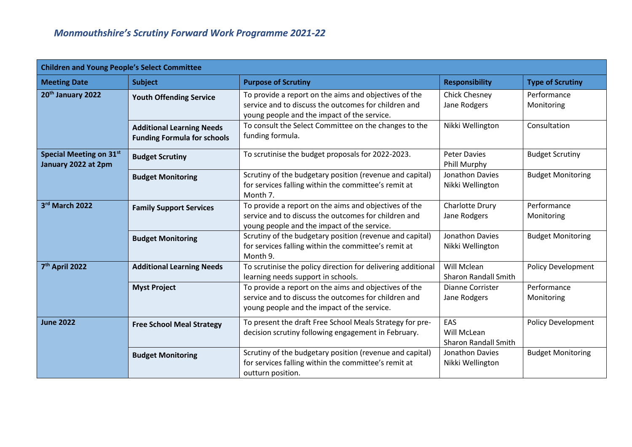| <b>Children and Young People's Select Committee</b> |                                                                        |                                                                                                                                                              |                                                   |                           |
|-----------------------------------------------------|------------------------------------------------------------------------|--------------------------------------------------------------------------------------------------------------------------------------------------------------|---------------------------------------------------|---------------------------|
| <b>Meeting Date</b>                                 | <b>Subject</b>                                                         | <b>Purpose of Scrutiny</b>                                                                                                                                   | <b>Responsibility</b>                             | <b>Type of Scrutiny</b>   |
| 20 <sup>th</sup> January 2022                       | <b>Youth Offending Service</b>                                         | To provide a report on the aims and objectives of the<br>service and to discuss the outcomes for children and<br>young people and the impact of the service. | <b>Chick Chesney</b><br>Jane Rodgers              | Performance<br>Monitoring |
|                                                     | <b>Additional Learning Needs</b><br><b>Funding Formula for schools</b> | To consult the Select Committee on the changes to the<br>funding formula.                                                                                    | Nikki Wellington                                  | Consultation              |
| Special Meeting on 31st<br>January 2022 at 2pm      | <b>Budget Scrutiny</b>                                                 | To scrutinise the budget proposals for 2022-2023.                                                                                                            | <b>Peter Davies</b><br>Phill Murphy               | <b>Budget Scrutiny</b>    |
|                                                     | <b>Budget Monitoring</b>                                               | Scrutiny of the budgetary position (revenue and capital)<br>for services falling within the committee's remit at<br>Month 7.                                 | Jonathon Davies<br>Nikki Wellington               | <b>Budget Monitoring</b>  |
| 3rd March 2022                                      | <b>Family Support Services</b>                                         | To provide a report on the aims and objectives of the<br>service and to discuss the outcomes for children and<br>young people and the impact of the service. | Charlotte Drury<br>Jane Rodgers                   | Performance<br>Monitoring |
|                                                     | <b>Budget Monitoring</b>                                               | Scrutiny of the budgetary position (revenue and capital)<br>for services falling within the committee's remit at<br>Month 9.                                 | Jonathon Davies<br>Nikki Wellington               | <b>Budget Monitoring</b>  |
| 7 <sup>th</sup> April 2022                          | <b>Additional Learning Needs</b>                                       | To scrutinise the policy direction for delivering additional<br>learning needs support in schools.                                                           | Will Mclean<br><b>Sharon Randall Smith</b>        | <b>Policy Development</b> |
|                                                     | <b>Myst Project</b>                                                    | To provide a report on the aims and objectives of the<br>service and to discuss the outcomes for children and<br>young people and the impact of the service. | Dianne Corrister<br>Jane Rodgers                  | Performance<br>Monitoring |
| <b>June 2022</b>                                    | <b>Free School Meal Strategy</b>                                       | To present the draft Free School Meals Strategy for pre-<br>decision scrutiny following engagement in February.                                              | EAS<br>Will McLean<br><b>Sharon Randall Smith</b> | <b>Policy Development</b> |
|                                                     | <b>Budget Monitoring</b>                                               | Scrutiny of the budgetary position (revenue and capital)<br>for services falling within the committee's remit at<br>outturn position.                        | Jonathon Davies<br>Nikki Wellington               | <b>Budget Monitoring</b>  |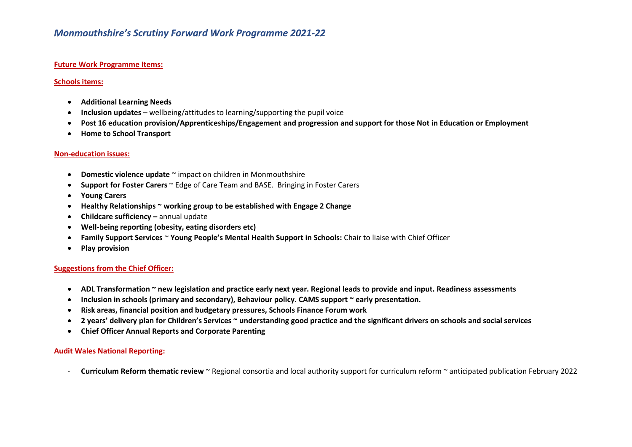# *Monmouthshire's Scrutiny Forward Work Programme 2021-22*

## **Future Work Programme Items:**

#### **Schools items:**

- **Additional Learning Needs**
- **Inclusion updates** wellbeing/attitudes to learning/supporting the pupil voice
- **Post 16 education provision/Apprenticeships/Engagement and progression and support for those Not in Education or Employment**
- **Home to School Transport**

#### **Non-education issues:**

- **Domestic violence update** ~ impact on children in Monmouthshire
- **Support for Foster Carers** ~ Edge of Care Team and BASE. Bringing in Foster Carers
- **Young Carers**
- **Healthy Relationships ~ working group to be established with Engage 2 Change**
- **Childcare sufficiency –** annual update
- **Well-being reporting (obesity, eating disorders etc)**
- **Family Support Services** ~ **Young People's Mental Health Support in Schools:** Chair to liaise with Chief Officer
- **Play provision**

## **Suggestions from the Chief Officer:**

- **ADL Transformation ~ new legislation and practice early next year. Regional leads to provide and input. Readiness assessments**
- **Inclusion in schools (primary and secondary), Behaviour policy. CAMS support ~ early presentation.**
- **Risk areas, financial position and budgetary pressures, Schools Finance Forum work**
- **2 years' delivery plan for Children's Services ~ understanding good practice and the significant drivers on schools and social services**
- **Chief Officer Annual Reports and Corporate Parenting**

# **Audit Wales National Reporting:**

- **Curriculum Reform thematic review** ~ Regional consortia and local authority support for curriculum reform ~ anticipated publication February 2022